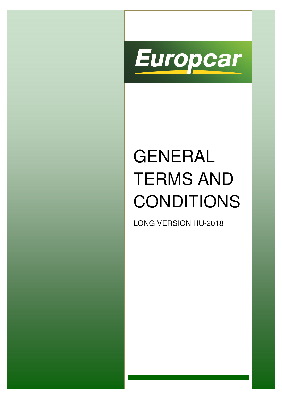

# GENERAL TERMS AND CONDITIONS

LONG VERSION HU-2018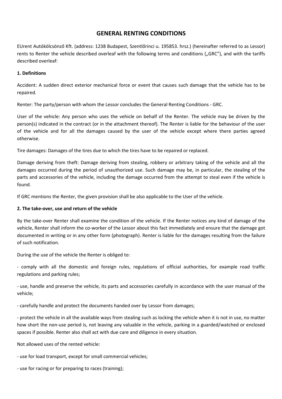# **GENERAL RENTING CONDITIONS**

EUrent Autókölcsönző Kft. (address: 1238 Budapest, Szentlőrinci u. 195853. hrsz.) (hereinafter referred to as Lessor) rents to Renter the vehicle described overleaf with the following terms and conditions ("GRC"), and with the tariffs described overleaf:

# **1. Definitions**

Accident: A sudden direct exterior mechanical force or event that causes such damage that the vehicle has to be repaired.

Renter: The party/person with whom the Lessor concludes the General Renting Conditions - GRC.

User of the vehicle: Any person who uses the vehicle on behalf of the Renter. The vehicle may be driven by the person(s) indicated in the contract (or in the attachment thereof). The Renter is liable for the behaviour of the user of the vehicle and for all the damages caused by the user of the vehicle except where there parties agreed otherwise.

Tire damages: Damages of the tires due to which the tires have to be repaired or replaced.

Damage deriving from theft: Damage deriving from stealing, robbery or arbitrary taking of the vehicle and all the damages occurred during the period of unauthorized use. Such damage may be, in particular, the stealing of the parts and accessories of the vehicle, including the damage occurred from the attempt to steal even if the vehicle is found.

If GRC mentions the Renter, the given provision shall be also applicable to the User of the vehicle.

#### **2. The take-over, use and return of the vehicle**

By the take-over Renter shall examine the condition of the vehicle. If the Renter notices any kind of damage of the vehicle, Renter shall inform the co-worker of the Lessor about this fact immediately and ensure that the damage got documented in writing or in any other form (photograph). Renter is liable for the damages resulting from the failure of such notification.

During the use of the vehicle the Renter is obliged to:

- comply with all the domestic and foreign rules, regulations of official authorities, for example road traffic regulations and parking rules;

- use, handle and preserve the vehicle, its parts and accessories carefully in accordance with the user manual of the vehicle;

- carefully handle and protect the documents handed over by Lessor from damages;

- protect the vehicle in all the available ways from stealing such as locking the vehicle when it is not in use, no matter how short the non-use period is, not leaving any valuable in the vehicle, parking in a guarded/watched or enclosed spaces if possible. Renter also shall act with due care and diligence in every situation.

Not allowed uses of the rented vehicle:

- use for load transport, except for small commercial vehicles;

- use for racing or for preparing to races (training);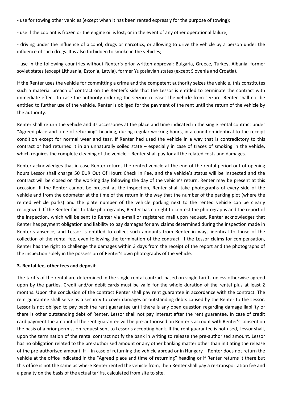- use for towing other vehicles (except when it has been rented expressly for the purpose of towing);

- use if the coolant is frozen or the engine oil is lost; or in the event of any other operational failure;

- driving under the influence of alcohol, drugs or narcotics, or allowing to drive the vehicle by a person under the influence of such drugs. It is also forbidden to smoke in the vehicles;

- use in the following countries without Renter's prior written approval: Bulgaria, Greece, Turkey, Albania, former soviet states (except Lithuania, Estonia, Latvia), former Yugoslavian states (except Slovenia and Croatia).

If the Renter uses the vehicle for committing a crime and the competent authority seizes the vehicle, this constitutes such a material breach of contract on the Renter's side that the Lessor is entitled to terminate the contract with immediate effect. In case the authority ordering the seizure releases the vehicle from seizure, Renter shall not be entitled to further use of the vehicle. Renter is obliged for the payment of the rent until the return of the vehicle by the authority.

Renter shall return the vehicle and its accessories at the place and time indicated in the single rental contract under "Agreed place and time of returning" heading, during regular working hours, in a condition identical to the receipt condition except for normal wear and tear. If Renter had used the vehicle in a way that is contradictory to this contract or had returned it in an unnaturally soiled state – especially in case of traces of smoking in the vehicle, which requires the complete cleaning of the vehicle – Renter shall pay for all the related costs and damages.

Renter acknowledges that in case Renter returns the rented vehicle at the end of the rental period out of opening hours Lessor shall charge 50 EUR Out Of Hours Check in Fee, and the vehicle's status will be inspected and the contract will be closed on the working day following the day of the vehicle's return. Renter may be present at this occasion. If the Renter cannot be present at the inspection, Renter shall take photographs of every side of the vehicle and from the odometer at the time of the return in the way that the number of the parking plot (where the rented vehicle parks) and the plate number of the vehicle parking next to the rented vehicle can be clearly recognized. If the Renter fails to take photographs, Renter has no right to contest the photographs and the report of the inspection, which will be sent to Renter via e-mail or registered mail upon request. Renter acknowledges that Renter has payment obligation and liability to pay damages for any claims determined during the inspection made in Renter's absence, and Lessor is entitled to collect such amounts from Renter in ways identical to those of the collection of the rental fee, even following the termination of the contract. If the Lessor claims for compensation, Renter has the right to challenge the damages within 3 days from the receipt of the report and the photographs of the inspection solely in the possession of Renter's own photographs of the vehicle.

#### **3. Rental fee, other fees and deposit**

The tariffs of the rental are determined in the single rental contract based on single tariffs unless otherwise agreed upon by the parties. Credit and/or debit cards must be valid for the whole duration of the rental plus at least 2 months. Upon the conclusion of the contract Renter shall pay rent guarantee in accordance with the contract. The rent guarantee shall serve as a security to cover damages or outstanding debts caused by the Renter to the Lessor. Lessor is not obliged to pay back the rent guarantee until there is any open question regarding damage liability or there is other outstanding debt of Renter. Lessor shall not pay interest after the rent guarantee. In case of credit card payment the amount of the rent guarantee will be pre-authorised on Renter's account with Renter's consent on the basis of a prior permission request sent to Lessor's accepting bank. If the rent guarantee is not used, Lessor shall, upon the termination of the rental contract notify the bank in writing to release the pre-authorised amount. Lessor has no obligation related to the pre-authorised amount or any other banking matter other than initiating the release of the pre-authorised amount. If – in case of returning the vehicle abroad or in Hungary – Renter does not return the vehicle at the office indicated in the "Agreed place and time of returning" heading or if Renter returns it there but this office is not the same as where Renter rented the vehicle from, then Renter shall pay a re-transportation fee and a penalty on the basis of the actual tariffs, calculated from site to site.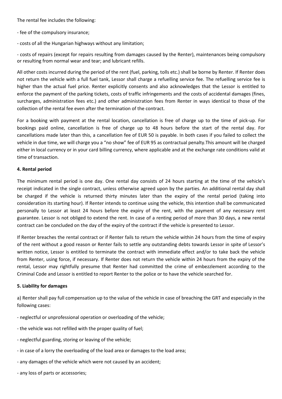The rental fee includes the following:

- fee of the compulsory insurance;
- costs of all the Hungarian highways without any limitation;

- costs of repairs (except for repairs resulting from damages caused by the Renter), maintenances being compulsory or resulting from normal wear and tear; and lubricant refills.

All other costs incurred during the period of the rent (fuel, parking, tolls etc.) shall be borne by Renter. If Renter does not return the vehicle with a full fuel tank, Lessor shall charge a refuelling service fee. The refuelling service fee is higher than the actual fuel price. Renter explicitly consents and also acknowledges that the Lessor is entitled to enforce the payment of the parking tickets, costs of traffic infringements and the costs of accidental damages (fines, surcharges, administration fees etc.) and other administration fees from Renter in ways identical to those of the collection of the rental fee even after the termination of the contract.

For a booking with payment at the rental location, cancellation is free of charge up to the time of pick-up. For bookings paid online, cancellation is free of charge up to 48 hours before the start of the rental day. For cancellations made later than this, a cancellation fee of EUR 50 is payable. In both cases if you failed to collect the vehicle in due time, we will charge you a "no show" fee of EUR 95 as contractual penalty.This amount will be charged either in local currency or in your card billing currency, where applicable and at the exchange rate conditions valid at time of transaction.

#### **4. Rental period**

The minimum rental period is one day. One rental day consists of 24 hours starting at the time of the vehicle's receipt indicated in the single contract, unless otherwise agreed upon by the parties. An additional rental day shall be charged if the vehicle is returned thirty minutes later than the expiry of the rental period (taking into consideration its starting hour). If Renter intends to continue using the vehicle, this intention shall be communicated personally to Lessor at least 24 hours before the expiry of the rent, with the payment of any necessary rent guarantee. Lessor is not obliged to extend the rent. In case of a renting period of more than 30 days, a new rental contract can be concluded on the day of the expiry of the contract if the vehicle is presented to Lessor.

If Renter breaches the rental contract or if Renter fails to return the vehicle within 24 hours from the time of expiry of the rent without a good reason or Renter fails to settle any outstanding debts towards Lessor in spite of Lessor's written notice, Lessor is entitled to terminate the contract with immediate effect and/or to take back the vehicle from Renter, using force, if necessary. If Renter does not return the vehicle within 24 hours from the expiry of the rental, Lessor may rightfully presume that Renter had committed the crime of embezzlement according to the Criminal Code and Lessor is entitled to report Renter to the police or to have the vehicle searched for.

#### **5. Liability for damages**

a) Renter shall pay full compensation up to the value of the vehicle in case of breaching the GRT and especially in the following cases:

- neglectful or unprofessional operation or overloading of the vehicle;
- the vehicle was not refilled with the proper quality of fuel;
- neglectful guarding, storing or leaving of the vehicle;
- in case of a lorry the overloading of the load area or damages to the load area;
- any damages of the vehicle which were not caused by an accident;
- any loss of parts or accessories;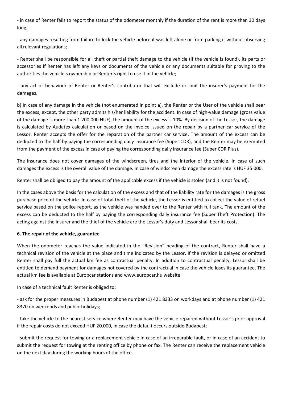- in case of Renter fails to report the status of the odometer monthly if the duration of the rent is more than 30 days long;

- any damages resulting from failure to lock the vehicle before it was left alone or from parking it without observing all relevant regulations;

- Renter shall be responsible for all theft or partial theft damage to the vehicle (if the vehicle is found), its parts or accessories if Renter has left any keys or documents of the vehicle or any documents suitable for proving to the authorities the vehicle's ownership or Renter's right to use it in the vehicle;

- any act or behaviour of Renter or Renter's contributor that will exclude or limit the insurer's payment for the damages.

b) In case of any damage in the vehicle (not enumerated in point a), the Renter or the User of the vehicle shall bear the excess, except, the other party admits his/her liability for the accident. In case of high-value damage (gross value of the damage is more than 1.200.000 HUF), the amount of the excess is 10%. By decision of the Lessor, the damage is calculated by Audatex calculation or based on the invoice issued on the repair by a partner car service of the Lessor. Renter accepts the offer for the reparation of the partner car service. The amount of the excess can be deducted to the half by paying the corresponding daily insurance fee (Super CDR), and the Renter may be exempted from the payment of the excess in case of paying the corresponding daily insurance fee (Super CDR Plus).

The insurance does not cover damages of the windscreen, tires and the interior of the vehicle. In case of such damages the excess is the overall value of the damage. In case of windscreen damage the excess rate is HUF 35.000.

Renter shall be obliged to pay the amount of the applicable excess if the vehicle is stolen (and it is not found).

In the cases above the basis for the calculation of the excess and that of the liability rate for the damages is the gross purchase price of the vehicle. In case of total theft of the vehicle, the Lessor is entitled to collect the value of refuel service based on the police report, as the vehicle was handed over to the Renter with full tank. The amount of the excess can be deducted to the half by paying the corresponding daily insurance fee (Super Theft Protection). The acting against the insurer and the thief of the vehicle are the Lessor's duty and Lessor shall bear its costs.

# **6. The repair of the vehicle, guarantee**

When the odometer reaches the value indicated in the "Revision" heading of the contract, Renter shall have a technical revision of the vehicle at the place and time indicated by the Lessor. If the revision is delayed or omitted Renter shall pay full the actual km fee as contractual penalty. In addition to contractual penalty, Lessor shall be entitled to demand payment for damages not covered by the contractual in case the vehicle loses its guarantee. The actual km fee is available at Europcar stations and www.europcar.hu website.

In case of a technical fault Renter is obliged to:

- ask for the proper measures in Budapest at phone number (1) 421 8333 on workdays and at phone number (1) 421 8370 on weekends and public holidays;

- take the vehicle to the nearest service where Renter may have the vehicle repaired without Lessor's prior approval if the repair costs do not exceed HUF 20.000, in case the default occurs outside Budapest;

- submit the request for towing or a replacement vehicle in case of an irreparable fault, or in case of an accident to submit the request for towing at the renting office by phone or fax. The Renter can receive the replacement vehicle on the next day during the working hours of the office.